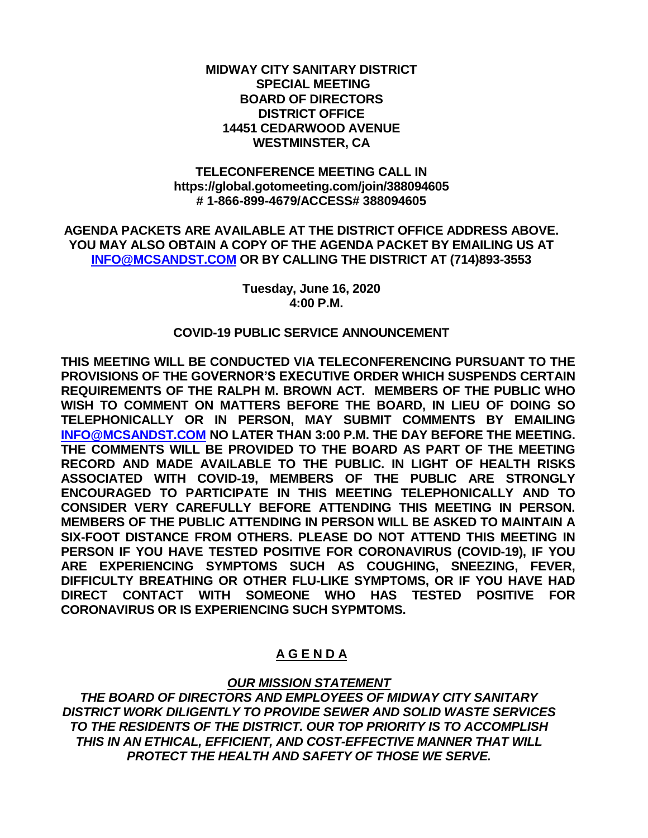## **MIDWAY CITY SANITARY DISTRICT SPECIAL MEETING BOARD OF DIRECTORS DISTRICT OFFICE 14451 CEDARWOOD AVENUE WESTMINSTER, CA**

## **TELECONFERENCE MEETING CALL IN https://global.gotomeeting.com/join/388094605 # 1-866-899-4679/ACCESS# 388094605**

**AGENDA PACKETS ARE AVAILABLE AT THE DISTRICT OFFICE ADDRESS ABOVE. YOU MAY ALSO OBTAIN A COPY OF THE AGENDA PACKET BY EMAILING US AT [INFO@MCSANDST.COM](mailto:INFO@MCSANDST.COM) OR BY CALLING THE DISTRICT AT (714)893-3553**

> **Tuesday, June 16, 2020 4:00 P.M.**

#### **COVID-19 PUBLIC SERVICE ANNOUNCEMENT**

**THIS MEETING WILL BE CONDUCTED VIA TELECONFERENCING PURSUANT TO THE PROVISIONS OF THE GOVERNOR'S EXECUTIVE ORDER WHICH SUSPENDS CERTAIN REQUIREMENTS OF THE RALPH M. BROWN ACT. MEMBERS OF THE PUBLIC WHO WISH TO COMMENT ON MATTERS BEFORE THE BOARD, IN LIEU OF DOING SO TELEPHONICALLY OR IN PERSON, MAY SUBMIT COMMENTS BY EMAILING [INFO@MCSANDST.COM](mailto:INFO@MCSANDST.COM) NO LATER THAN 3:00 P.M. THE DAY BEFORE THE MEETING. THE COMMENTS WILL BE PROVIDED TO THE BOARD AS PART OF THE MEETING RECORD AND MADE AVAILABLE TO THE PUBLIC. IN LIGHT OF HEALTH RISKS ASSOCIATED WITH COVID-19, MEMBERS OF THE PUBLIC ARE STRONGLY ENCOURAGED TO PARTICIPATE IN THIS MEETING TELEPHONICALLY AND TO CONSIDER VERY CAREFULLY BEFORE ATTENDING THIS MEETING IN PERSON. MEMBERS OF THE PUBLIC ATTENDING IN PERSON WILL BE ASKED TO MAINTAIN A SIX-FOOT DISTANCE FROM OTHERS. PLEASE DO NOT ATTEND THIS MEETING IN PERSON IF YOU HAVE TESTED POSITIVE FOR CORONAVIRUS (COVID-19), IF YOU ARE EXPERIENCING SYMPTOMS SUCH AS COUGHING, SNEEZING, FEVER, DIFFICULTY BREATHING OR OTHER FLU-LIKE SYMPTOMS, OR IF YOU HAVE HAD DIRECT CONTACT WITH SOMEONE WHO HAS TESTED POSITIVE FOR CORONAVIRUS OR IS EXPERIENCING SUCH SYPMTOMS.** 

## **A G E N D A**

# *OUR MISSION STATEMENT*

*THE BOARD OF DIRECTORS AND EMPLOYEES OF MIDWAY CITY SANITARY DISTRICT WORK DILIGENTLY TO PROVIDE SEWER AND SOLID WASTE SERVICES TO THE RESIDENTS OF THE DISTRICT. OUR TOP PRIORITY IS TO ACCOMPLISH THIS IN AN ETHICAL, EFFICIENT, AND COST-EFFECTIVE MANNER THAT WILL PROTECT THE HEALTH AND SAFETY OF THOSE WE SERVE.*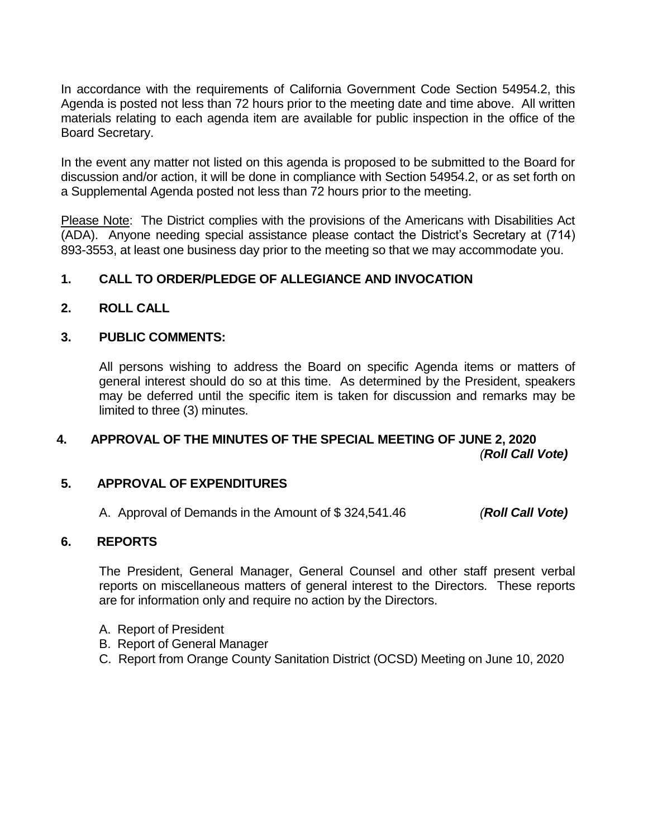In accordance with the requirements of California Government Code Section 54954.2, this Agenda is posted not less than 72 hours prior to the meeting date and time above. All written materials relating to each agenda item are available for public inspection in the office of the Board Secretary.

In the event any matter not listed on this agenda is proposed to be submitted to the Board for discussion and/or action, it will be done in compliance with Section 54954.2, or as set forth on a Supplemental Agenda posted not less than 72 hours prior to the meeting.

Please Note: The District complies with the provisions of the Americans with Disabilities Act (ADA). Anyone needing special assistance please contact the District's Secretary at (714) 893-3553, at least one business day prior to the meeting so that we may accommodate you.

# **1. CALL TO ORDER/PLEDGE OF ALLEGIANCE AND INVOCATION**

## **2. ROLL CALL**

## **3. PUBLIC COMMENTS:**

All persons wishing to address the Board on specific Agenda items or matters of general interest should do so at this time. As determined by the President, speakers may be deferred until the specific item is taken for discussion and remarks may be limited to three (3) minutes.

# **4. APPROVAL OF THE MINUTES OF THE SPECIAL MEETING OF JUNE 2, 2020** *(Roll Call Vote)*

### **5. APPROVAL OF EXPENDITURES**

A. Approval of Demands in the Amount of \$ 324,541.46 *(Roll Call Vote)*

## **6. REPORTS**

The President, General Manager, General Counsel and other staff present verbal reports on miscellaneous matters of general interest to the Directors. These reports are for information only and require no action by the Directors.

- A. Report of President
- B. Report of General Manager
- C. Report from Orange County Sanitation District (OCSD) Meeting on June 10, 2020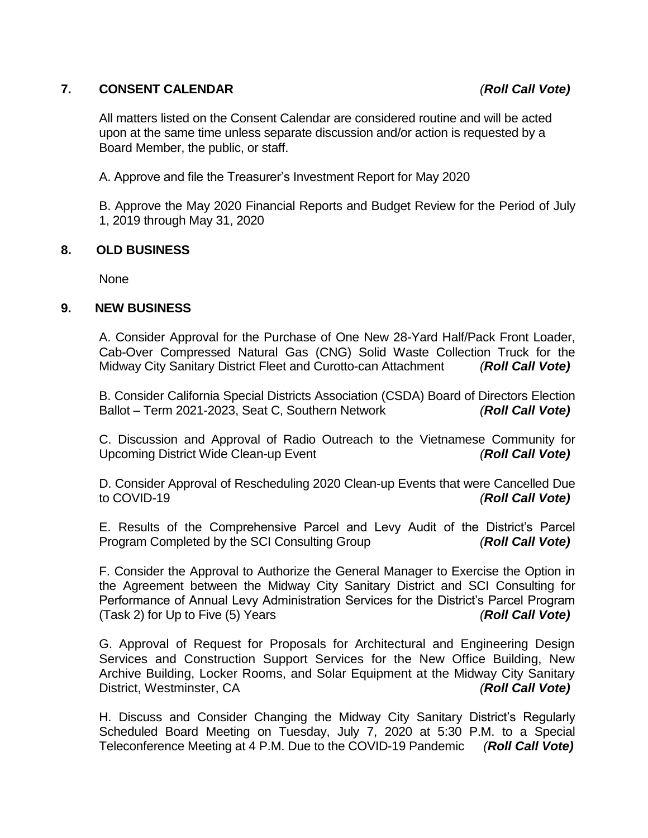# **7. CONSENT CALENDAR** *(Roll Call Vote)*

All matters listed on the Consent Calendar are considered routine and will be acted upon at the same time unless separate discussion and/or action is requested by a Board Member, the public, or staff.

A. Approve and file the Treasurer's Investment Report for May 2020

B. Approve the May 2020 Financial Reports and Budget Review for the Period of July 1, 2019 through May 31, 2020

## **8. OLD BUSINESS**

None

## **9. NEW BUSINESS**

A. Consider Approval for the Purchase of One New 28-Yard Half/Pack Front Loader, Cab-Over Compressed Natural Gas (CNG) Solid Waste Collection Truck for the Midway City Sanitary District Fleet and Curotto-can Attachment *(Roll Call Vote)*

B. Consider California Special Districts Association (CSDA) Board of Directors Election Ballot – Term 2021-2023, Seat C, Southern Network *(Roll Call Vote)*

C. Discussion and Approval of Radio Outreach to the Vietnamese Community for Upcoming District Wide Clean-up Event *(Roll Call Vote)*

D. Consider Approval of Rescheduling 2020 Clean-up Events that were Cancelled Due to COVID-19 *(Roll Call Vote)*

E. Results of the Comprehensive Parcel and Levy Audit of the District's Parcel Program Completed by the SCI Consulting Group *(Roll Call Vote)*

F. Consider the Approval to Authorize the General Manager to Exercise the Option in the Agreement between the Midway City Sanitary District and SCI Consulting for Performance of Annual Levy Administration Services for the District's Parcel Program (Task 2) for Up to Five (5) Years *(Roll Call Vote)*

G. Approval of Request for Proposals for Architectural and Engineering Design Services and Construction Support Services for the New Office Building, New Archive Building, Locker Rooms, and Solar Equipment at the Midway City Sanitary District, Westminster, CA *(Roll Call Vote)*

H. Discuss and Consider Changing the Midway City Sanitary District's Regularly Scheduled Board Meeting on Tuesday, July 7, 2020 at 5:30 P.M. to a Special Teleconference Meeting at 4 P.M. Due to the COVID-19 Pandemic *(Roll Call Vote)*